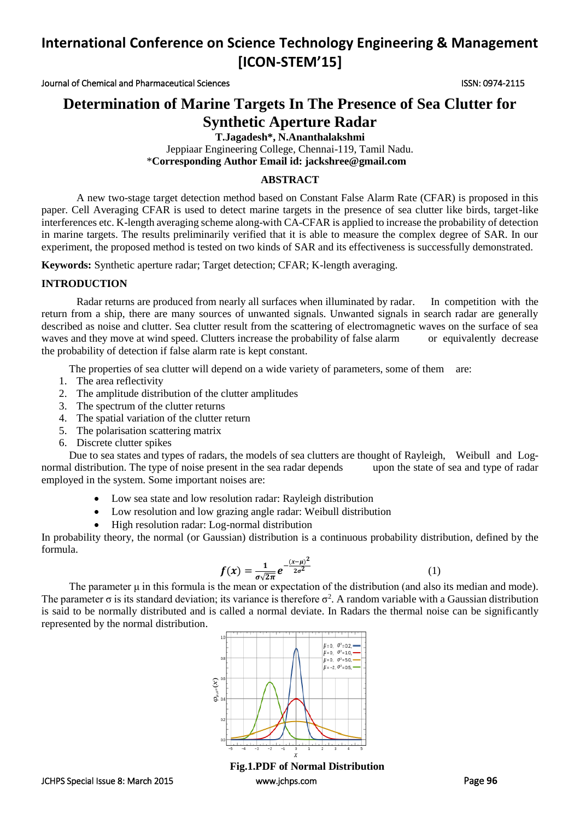Journal of Chemical and Pharmaceutical Sciences ISSN: 0974-2115

## **Determination of Marine Targets In The Presence of Sea Clutter for Synthetic Aperture Radar**

**T.Jagadesh\*, N.Ananthalakshmi**

Jeppiaar Engineering College, Chennai-119, Tamil Nadu. \***Corresponding Author Email id: jackshree@gmail.com** 

#### **ABSTRACT**

A new two-stage target detection method based on Constant False Alarm Rate (CFAR) is proposed in this paper. Cell Averaging CFAR is used to detect marine targets in the presence of sea clutter like birds, target-like interferences etc. K-length averaging scheme along-with CA-CFAR is applied to increase the probability of detection in marine targets. The results preliminarily verified that it is able to measure the complex degree of SAR. In our experiment, the proposed method is tested on two kinds of SAR and its effectiveness is successfully demonstrated.

**Keywords:** Synthetic aperture radar; Target detection; CFAR; K-length averaging.

### **INTRODUCTION**

Radar returns are produced from nearly all surfaces when illuminated by radar. In competition with the return from a ship, there are many sources of unwanted signals. Unwanted signals in search radar are generally described as noise and clutter. Sea clutter result from the scattering of electromagnetic waves on the surface of sea waves and they move at wind speed. Clutters increase the probability of false alarm or equivalently decrease the probability of detection if false alarm rate is kept constant.

The properties of sea clutter will depend on a wide variety of parameters, some of them are:

- 1. The area reflectivity
- 2. The amplitude distribution of the clutter amplitudes
- 3. The spectrum of the clutter returns
- 4. The spatial variation of the clutter return
- 5. The polarisation scattering matrix
- 6. Discrete clutter spikes

Due to sea states and types of radars, the models of sea clutters are thought of Rayleigh, Weibull and Lognormal distribution. The type of noise present in the sea radar depends upon the state of sea and type of radar employed in the system. Some important noises are:

- Low sea state and low resolution radar: Rayleigh distribution
- Low resolution and low grazing angle radar: Weibull distribution
- High resolution radar: Log-normal distribution

In probability theory, the normal (or Gaussian) distribution is a continuous probability distribution, defined by the formula.

$$
f(x) = \frac{1}{\sigma \sqrt{2\pi}} e^{-\frac{(x-\mu)^2}{2\sigma^2}}
$$
 (1)

The parameter μ in this formula is the mean or expectation of the distribution (and also its median and mode). The parameter  $\sigma$  is its standard deviation; its variance is therefore  $\sigma^2$ . A random variable with a Gaussian distribution is said to be normally distributed and is called a normal deviate. In Radars the thermal noise can be significantly represented by the normal distribution.



JCHPS Special Issue 8: March 2015 [www.jchps.com](http://www.jchps.com/) Page **96 Fig.1.PDF of Normal Distribution**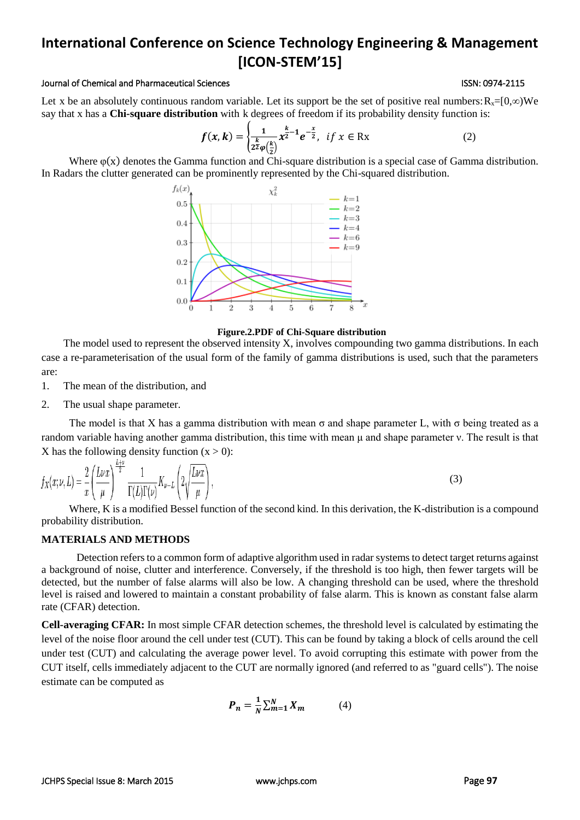#### Journal of Chemical and Pharmaceutical Sciences **ISSN: 0974-2115** ISSN: 0974-2115

Let x be an [absolutely continuous random variable.](http://www.statlect.com/glossary/absolutely_continuous_random_variable.htm) Let its [support](http://www.statlect.com/glossary/support_of_a_random_variable.htm) be the set of positive real numbers:  $R_x=[0,\infty)$ We say that x has a **Chi-square distribution** with k degrees of freedom if its [probability density function](http://www.statlect.com/glossary/probability_density_function.htm) is:

$$
f(x,k) = \begin{cases} \frac{1}{2}x^{\frac{k}{2}-1}e^{-\frac{x}{2}}, & \text{if } x \in \mathbb{R}x\\ 2^{\frac{k}{2}}\varphi(\frac{k}{2})} & \text{if } x \in \mathbb{R}x \end{cases}
$$
 (2)

Where φ(x) denotes th[e Gamma function](https://en.wikipedia.org/wiki/Gamma_function) and Chi-square distribution is a special case of Gamma distribution. In Radars the clutter generated can be prominently represented by the Chi-squared distribution.



 **Figure.2.PDF of Chi-Square distribution**

The model used to represent the observed intensity X, involves compounding tw[o gamma distributions.](http://en.wikipedia.org/wiki/Gamma_distribution) In each case a re-parameterisation of the usual form of the family of gamma distributions is used, such that the parameters are:

1. The mean of the distribution, and

2. The usual shape parameter.

The model is that X has a gamma distribution with mean  $\sigma$  and shape parameter L, with  $\sigma$  being treated as a [random variable](http://en.wikipedia.org/wiki/Random_variable) having another gamma distribution, this time with mean μ and shape parameter ν. The result is that X has the following density function  $(x > 0)$ :

$$
f_X(x;\nu,L) = \frac{2}{x} \left( \frac{L\nu x}{\mu} \right)^{\frac{\nu+\nu}{2}} \frac{1}{\Gamma(L)\Gamma(\nu)} K_{\nu-L} \left( 2\sqrt{\frac{L\nu x}{\mu}} \right),\tag{3}
$$

Where, K is [a modified Bessel function](http://en.wikipedia.org/wiki/Modified_Bessel_function) of the second kind. In this derivation, the K-distribution is a compound [probability distribution.](http://en.wikipedia.org/wiki/Compound_probability_distribution)

#### **MATERIALS AND METHODS**

Detection refers to a common form of adaptive algorithm used in radar systems to detect target returns against a background of noise, clutter and interference. Conversely, if the threshold is too high, then fewer targets will be detected, but the number of false alarms will also be low. A changing threshold can be used, where the threshold level is raised and lowered to maintain a constant probability of false alarm. This is known as constant false alarm rate (CFAR) detection.

**Cell-averaging CFAR:** In most simple CFAR detection schemes, the threshold level is calculated by estimating the level of the noise floor around the cell under test (CUT). This can be found by taking a block of cells around the cell under test (CUT) and calculating the average power level. To avoid corrupting this estimate with power from the CUT itself, cells immediately adjacent to the CUT are normally ignored (and referred to as "guard cells"). The noise estimate can be computed as

$$
\boldsymbol{P}_n = \frac{1}{N} \sum_{m=1}^{N} X_m \tag{4}
$$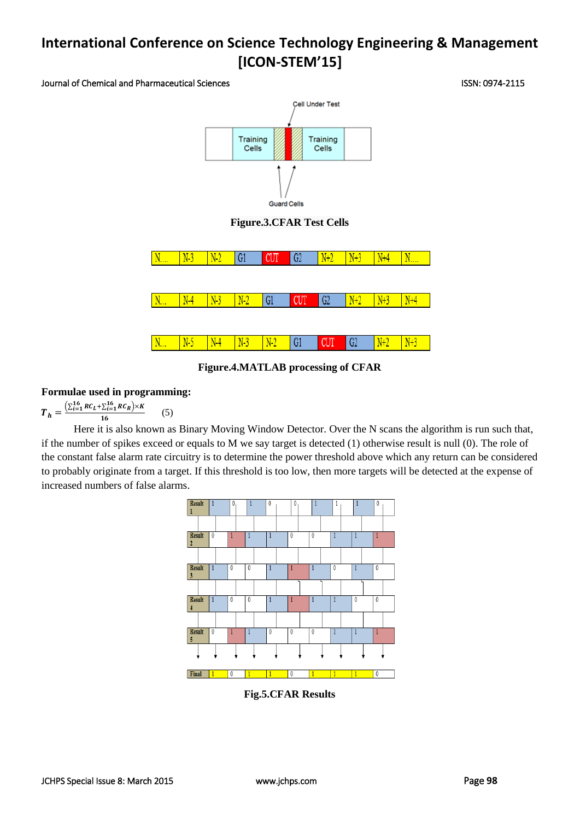Journal of Chemical and Pharmaceutical Sciences ISSN: 0974-2115



**Figure.3.CFAR Test Cells**



**Figure.4.MATLAB processing of CFAR**

### **Formulae used in programming:**

 $T_h = \frac{\left(\sum_{i=1}^{16} RC_L + \sum_{i=1}^{16} RC_R\right) \times K}{16}$ 16 (5)

Here it is also known as Binary Moving Window Detector. Over the N scans the algorithm is run such that, if the number of spikes exceed or equals to M we say target is detected (1) otherwise result is null (0). The role of the constant false alarm rate circuitry is to determine the power threshold above which any return can be considered to probably originate from a target. If this threshold is too low, then more targets will be detected at the expense of increased numbers of false alarms.



**Fig.5.CFAR Results**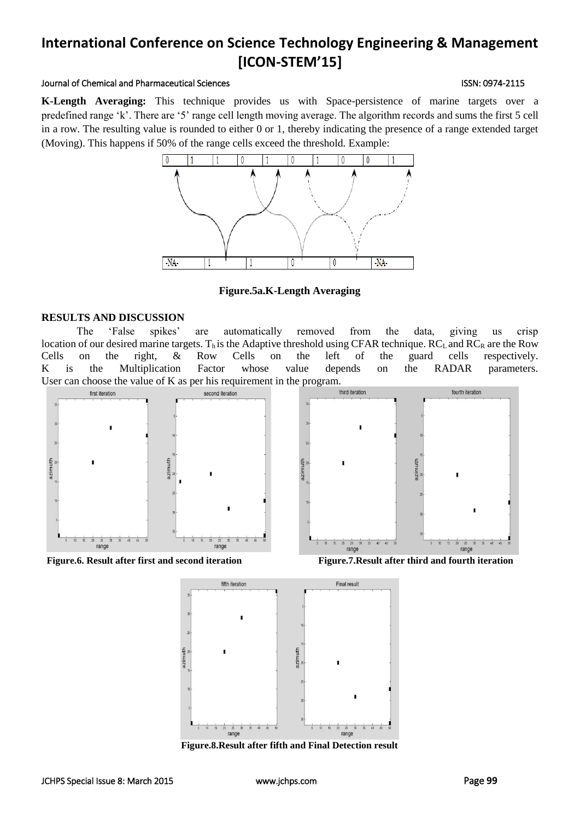#### Journal of Chemical and Pharmaceutical Sciences ISSN: 0974-2115

**K-Length Averaging:** This technique provides us with Space-persistence of marine targets over a predefined range 'k'. There are '5' range cell length moving average. The algorithm records and sums the first 5 cell in a row. The resulting value is rounded to either 0 or 1, thereby indicating the presence of a range extended target (Moving). This happens if 50% of the range cells exceed the threshold. Example:



**Figure.5a.K-Length Averaging**

### **RESULTS AND DISCUSSION**

The 'False spikes' are automatically removed from the data, giving us crisp location of our desired marine targets. T<sub>h</sub> is the Adaptive threshold using CFAR technique.  $RC<sub>L</sub>$  and  $RC<sub>R</sub>$  are the Row Cells on the right, & Row Cells on the left of the guard cells respectively. K is the Multiplication Factor whose value depends on the RADAR parameters. User can choose the value of K as per his requirement in the program.







**Figure.8.Result after fifth and Final Detection result**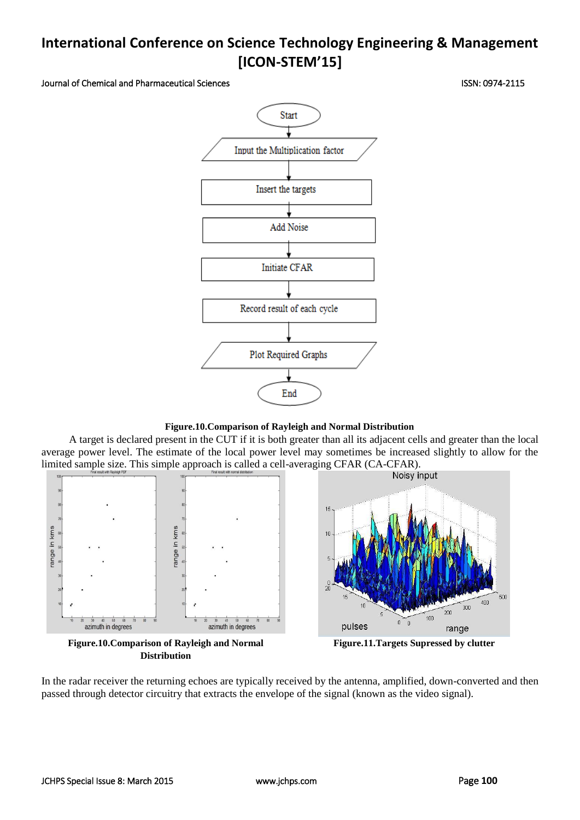Journal of Chemical and Pharmaceutical Sciences ISSN: 0974-2115

Start Input the Multiplication factor Insert the targets **Add Noise Initiate CFAR** Record result of each cycle Plot Required Graphs End

**Figure.10.Comparison of Rayleigh and Normal Distribution**

A target is declared present in the CUT if it is both greater than all its adjacent cells and greater than the local average power level. The estimate of the local power level may sometimes be increased slightly to allow for the limited sample size. This simple approach is called a cell-averaging CFAR (CA-CFAR).



**Distribution**

**Figure.11.Targets Supressed by clutter**

In the radar receiver the returning echoes are typically received by the antenna, amplified, down-converted and then passed through detector circuitry that extracts the envelope of the signal (known as the video signal).